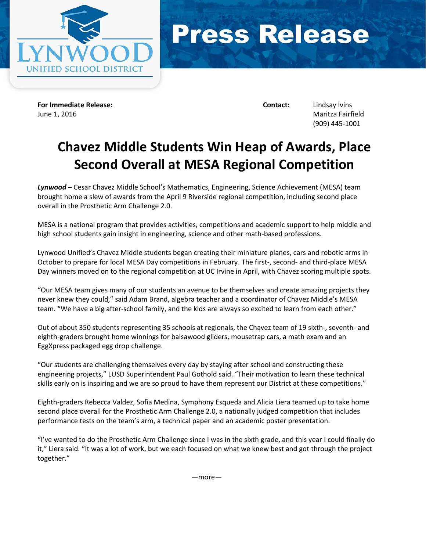



**For Immediate Release: Contact:** Lindsay Ivins June 1, 2016 Maritza Fairfield

(909) 445-1001

## **Chavez Middle Students Win Heap of Awards, Place Second Overall at MESA Regional Competition**

*Lynwood* – Cesar Chavez Middle School's Mathematics, Engineering, Science Achievement (MESA) team brought home a slew of awards from the April 9 Riverside regional competition, including second place overall in the Prosthetic Arm Challenge 2.0.

MESA is a national program that provides activities, competitions and academic support to help middle and high school students gain insight in engineering, science and other math-based professions.

Lynwood Unified's Chavez Middle students began creating their miniature planes, cars and robotic arms in October to prepare for local MESA Day competitions in February. The first-, second- and third-place MESA Day winners moved on to the regional competition at UC Irvine in April, with Chavez scoring multiple spots.

"Our MESA team gives many of our students an avenue to be themselves and create amazing projects they never knew they could," said Adam Brand, algebra teacher and a coordinator of Chavez Middle's MESA team. "We have a big after-school family, and the kids are always so excited to learn from each other."

Out of about 350 students representing 35 schools at regionals, the Chavez team of 19 sixth-, seventh- and eighth-graders brought home winnings for balsawood gliders, mousetrap cars, a math exam and an EggXpress packaged egg drop challenge.

"Our students are challenging themselves every day by staying after school and constructing these engineering projects," LUSD Superintendent Paul Gothold said. "Their motivation to learn these technical skills early on is inspiring and we are so proud to have them represent our District at these competitions."

Eighth-graders Rebecca Valdez, Sofia Medina, Symphony Esqueda and Alicia Liera teamed up to take home second place overall for the Prosthetic Arm Challenge 2.0, a nationally judged competition that includes performance tests on the team's arm, a technical paper and an academic poster presentation.

"I've wanted to do the Prosthetic Arm Challenge since I was in the sixth grade, and this year I could finally do it," Liera said. "It was a lot of work, but we each focused on what we knew best and got through the project together."

—more—